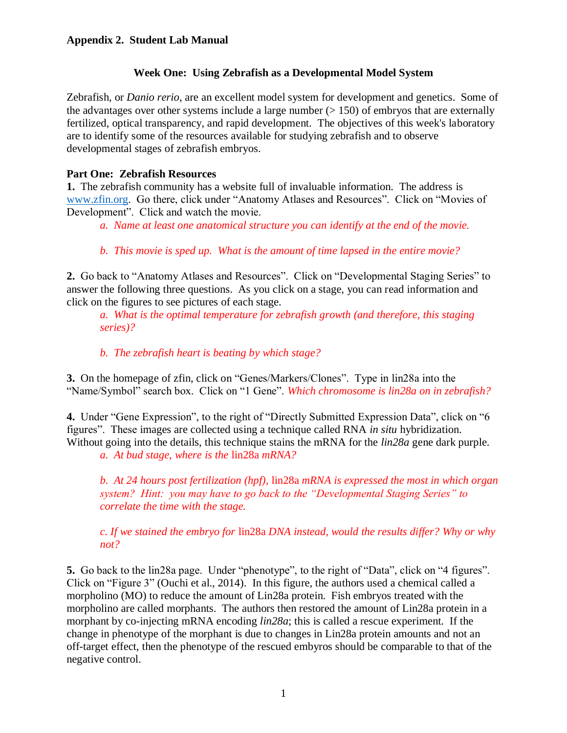# **Week One: Using Zebrafish as a Developmental Model System**

Zebrafish, or *Danio rerio*, are an excellent model system for development and genetics. Some of the advantages over other systems include a large number  $(> 150)$  of embryos that are externally fertilized, optical transparency, and rapid development. The objectives of this week's laboratory are to identify some of the resources available for studying zebrafish and to observe developmental stages of zebrafish embryos.

# **Part One: Zebrafish Resources**

**1.** The zebrafish community has a website full of invaluable information. The address is [www.zfin.org.](http://www.zfin.org/) Go there, click under "Anatomy Atlases and Resources". Click on "Movies of Development". Click and watch the movie.

*a. Name at least one anatomical structure you can identify at the end of the movie.* 

*b. This movie is sped up. What is the amount of time lapsed in the entire movie?*

**2.** Go back to "Anatomy Atlases and Resources". Click on "Developmental Staging Series" to answer the following three questions. As you click on a stage, you can read information and click on the figures to see pictures of each stage.

*a. What is the optimal temperature for zebrafish growth (and therefore, this staging series)?*

*b. The zebrafish heart is beating by which stage?*

**3.** On the homepage of zfin, click on "Genes/Markers/Clones". Type in lin28a into the "Name/Symbol" search box. Click on "1 Gene". *Which chromosome is lin28a on in zebrafish?*

**4.** Under "Gene Expression", to the right of "Directly Submitted Expression Data", click on "6 figures". These images are collected using a technique called RNA *in situ* hybridization. Without going into the details, this technique stains the mRNA for the *lin28a* gene dark purple.

*a. At bud stage, where is the* lin28a *mRNA?*

*b. At 24 hours post fertilization (hpf),* lin28a *mRNA is expressed the most in which organ system? Hint: you may have to go back to the "Developmental Staging Series" to correlate the time with the stage.*

*c. If we stained the embryo for* lin28a *DNA instead, would the results differ? Why or why not?*

**5.** Go back to the lin28a page. Under "phenotype", to the right of "Data", click on "4 figures". Click on "Figure 3" (Ouchi et al., 2014). In this figure, the authors used a chemical called a morpholino (MO) to reduce the amount of Lin28a protein. Fish embryos treated with the morpholino are called morphants. The authors then restored the amount of Lin28a protein in a morphant by co-injecting mRNA encoding *lin28a*; this is called a rescue experiment. If the change in phenotype of the morphant is due to changes in Lin28a protein amounts and not an off-target effect, then the phenotype of the rescued embyros should be comparable to that of the negative control.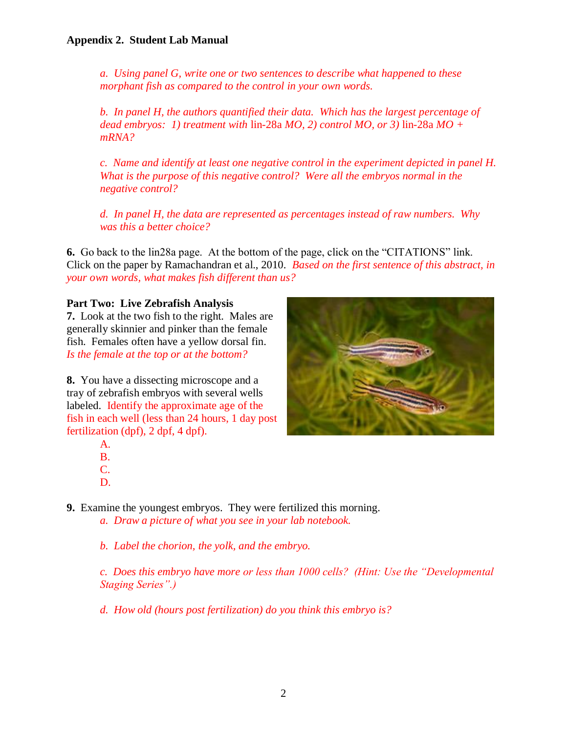*a. Using panel G, write one or two sentences to describe what happened to these morphant fish as compared to the control in your own words.*

*b. In panel H, the authors quantified their data. Which has the largest percentage of dead embryos: 1) treatment with* lin-28a *MO, 2) control MO, or 3)* lin-28a *MO + mRNA?* 

*c. Name and identify at least one negative control in the experiment depicted in panel H. What is the purpose of this negative control? Were all the embryos normal in the negative control?* 

*d. In panel H, the data are represented as percentages instead of raw numbers. Why was this a better choice?*

**6.** Go back to the lin28a page. At the bottom of the page, click on the "CITATIONS" link. Click on the paper by Ramachandran et al., 2010. *Based on the first sentence of this abstract, in your own words, what makes fish different than us?*

#### **Part Two: Live Zebrafish Analysis**

**7.** Look at the two fish to the right. Males are generally skinnier and pinker than the female fish. Females often have a yellow dorsal fin. *Is the female at the top or at the bottom?* 

**8.** You have a dissecting microscope and a tray of zebrafish embryos with several wells labeled. Identify the approximate age of the fish in each well (less than 24 hours, 1 day post fertilization (dpf), 2 dpf, 4 dpf).



A. B. C.

D.

**9.** Examine the youngest embryos. They were fertilized this morning.

*a. Draw a picture of what you see in your lab notebook.* 

*b. Label the chorion, the yolk, and the embryo.* 

*c. Does this embryo have more or less than 1000 cells? (Hint: Use the "Developmental Staging Series".)*

*d. How old (hours post fertilization) do you think this embryo is?*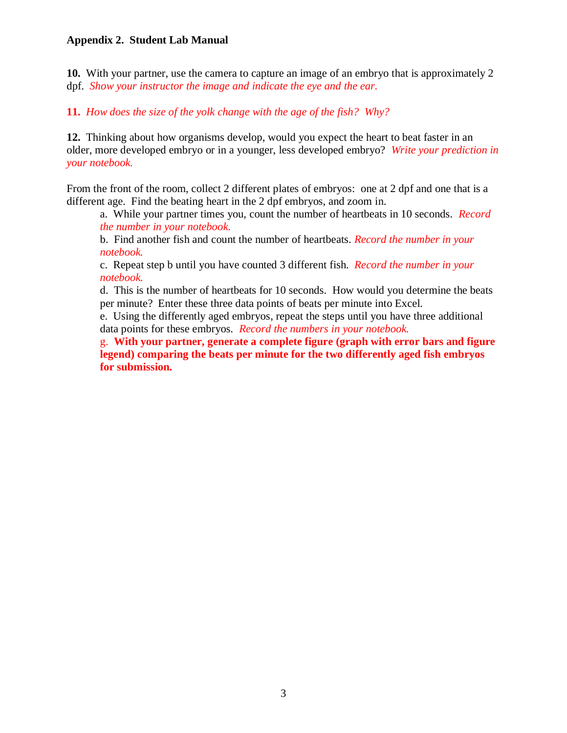**10.** With your partner, use the camera to capture an image of an embryo that is approximately 2 dpf. *Show your instructor the image and indicate the eye and the ear.*

**11.** *How does the size of the yolk change with the age of the fish? Why?*

**12.** Thinking about how organisms develop, would you expect the heart to beat faster in an older, more developed embryo or in a younger, less developed embryo? *Write your prediction in your notebook.* 

From the front of the room, collect 2 different plates of embryos: one at 2 dpf and one that is a different age. Find the beating heart in the 2 dpf embryos, and zoom in.

a. While your partner times you, count the number of heartbeats in 10 seconds. *Record the number in your notebook.*

b. Find another fish and count the number of heartbeats. *Record the number in your notebook.*

c. Repeat step b until you have counted 3 different fish. *Record the number in your notebook.*

d. This is the number of heartbeats for 10 seconds. How would you determine the beats per minute? Enter these three data points of beats per minute into Excel.

e. Using the differently aged embryos, repeat the steps until you have three additional data points for these embryos. *Record the numbers in your notebook.*

g. **With your partner, generate a complete figure (graph with error bars and figure legend) comparing the beats per minute for the two differently aged fish embryos for submission.**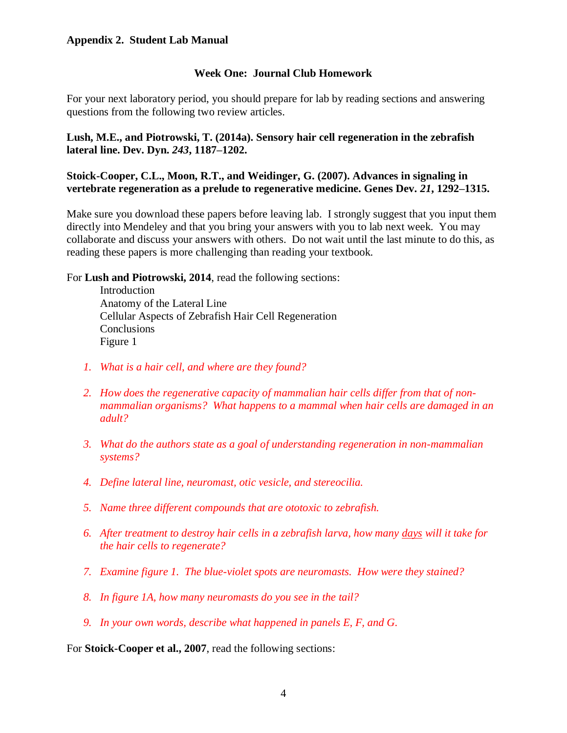### **Week One: Journal Club Homework**

For your next laboratory period, you should prepare for lab by reading sections and answering questions from the following two review articles.

**Lush, M.E., and Piotrowski, T. (2014a). Sensory hair cell regeneration in the zebrafish lateral line. Dev. Dyn.** *243***, 1187–1202.**

### **Stoick-Cooper, C.L., Moon, R.T., and Weidinger, G. (2007). Advances in signaling in vertebrate regeneration as a prelude to regenerative medicine. Genes Dev.** *21***, 1292–1315.**

Make sure you download these papers before leaving lab. I strongly suggest that you input them directly into Mendeley and that you bring your answers with you to lab next week. You may collaborate and discuss your answers with others. Do not wait until the last minute to do this, as reading these papers is more challenging than reading your textbook.

For **Lush and Piotrowski, 2014**, read the following sections:

Introduction Anatomy of the Lateral Line Cellular Aspects of Zebrafish Hair Cell Regeneration **Conclusions** Figure 1

- *1. What is a hair cell, and where are they found?*
- *2. How does the regenerative capacity of mammalian hair cells differ from that of nonmammalian organisms? What happens to a mammal when hair cells are damaged in an adult?*
- *3. What do the authors state as a goal of understanding regeneration in non-mammalian systems?*
- *4. Define lateral line, neuromast, otic vesicle, and stereocilia.*
- *5. Name three different compounds that are ototoxic to zebrafish.*
- *6. After treatment to destroy hair cells in a zebrafish larva, how many days will it take for the hair cells to regenerate?*
- *7. Examine figure 1. The blue-violet spots are neuromasts. How were they stained?*
- *8. In figure 1A, how many neuromasts do you see in the tail?*
- *9. In your own words, describe what happened in panels E, F, and G.*

For **Stoick-Cooper et al., 2007**, read the following sections: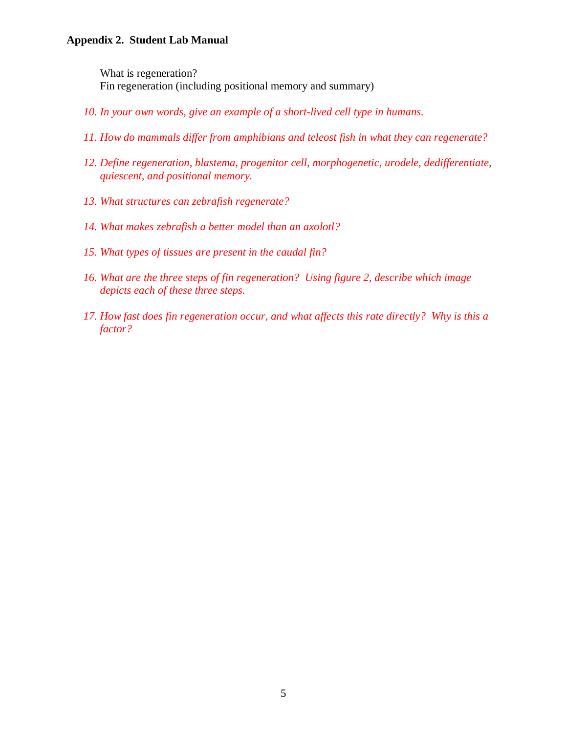What is regeneration? Fin regeneration (including positional memory and summary)

- *10. In your own words, give an example of a short-lived cell type in humans.*
- *11. How do mammals differ from amphibians and teleost fish in what they can regenerate?*
- *12. Define regeneration, blastema, progenitor cell, morphogenetic, urodele, dedifferentiate, quiescent, and positional memory.*
- *13. What structures can zebrafish regenerate?*
- *14. What makes zebrafish a better model than an axolotl?*
- *15. What types of tissues are present in the caudal fin?*
- *16. What are the three steps of fin regeneration? Using figure 2, describe which image depicts each of these three steps.*
- *17. How fast does fin regeneration occur, and what affects this rate directly? Why is this a factor?*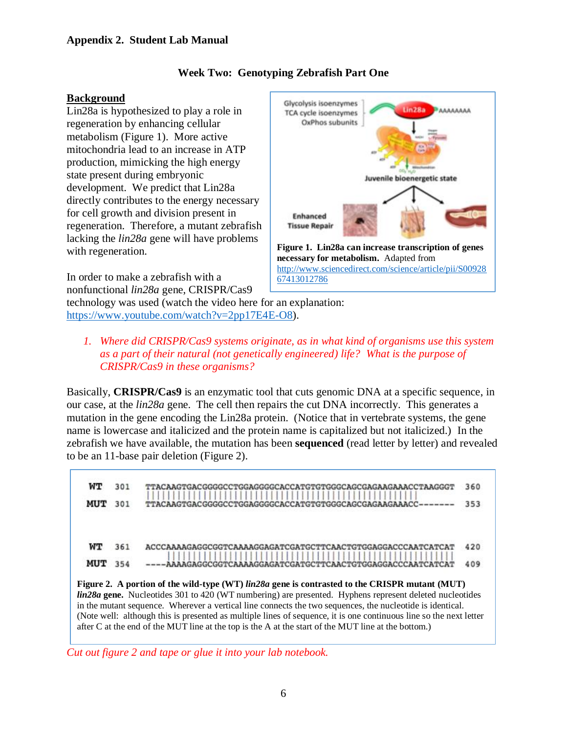

# **Week Two: Genotyping Zebrafish Part One**

# **Background**

Lin28a is hypothesized to play a role in regeneration by enhancing cellular metabolism (Figure 1). More active mitochondria lead to an increase in ATP production, mimicking the high energy state present during embryonic development. We predict that Lin28a directly contributes to the energy necessary for cell growth and division present in regeneration. Therefore, a mutant zebrafish lacking the *lin28a* gene will have problems with regeneration.

In order to make a zebrafish with a nonfunctional *lin28a* gene, CRISPR/Cas9

technology was used (watch the video here for an explanation: [https://www.youtube.com/watch?v=2pp17E4E-O8\)](https://www.youtube.com/watch?v=2pp17E4E-O8).

*1. Where did CRISPR/Cas9 systems originate, as in what kind of organisms use this system as a part of their natural (not genetically engineered) life? What is the purpose of CRISPR/Cas9 in these organisms?*

Basically, **CRISPR/Cas9** is an enzymatic tool that cuts genomic DNA at a specific sequence, in our case, at the *lin28a* gene. The cell then repairs the cut DNA incorrectly. This generates a mutation in the gene encoding the Lin28a protein. (Notice that in vertebrate systems, the gene name is lowercase and italicized and the protein name is capitalized but not italicized.) In the zebrafish we have available, the mutation has been **sequenced** (read letter by letter) and revealed to be an 11-base pair deletion (Figure 2).



*Cut out figure 2 and tape or glue it into your lab notebook.*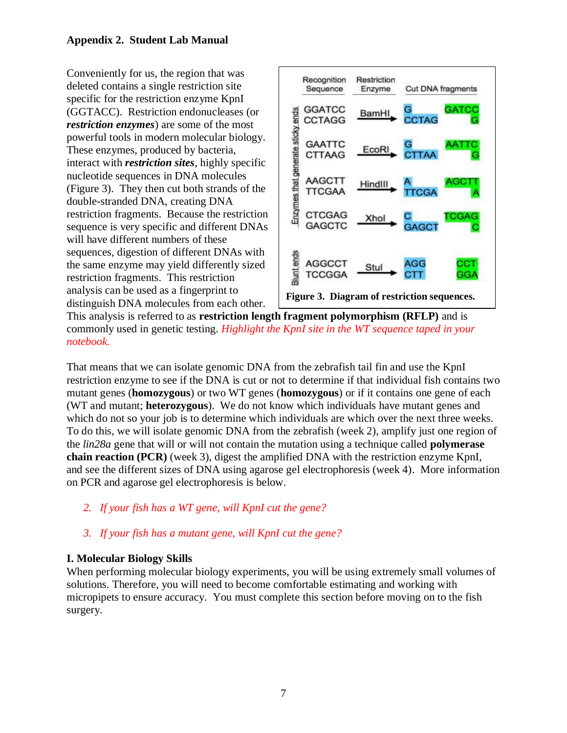Conveniently for us, the region that was deleted contains a single restriction site specific for the restriction enzyme KpnI (GGTACC). Restriction endonucleases (or *restriction enzymes*) are some of the most powerful tools in modern molecular biology. These enzymes, produced by bacteria, interact with *restriction sites*, highly specific nucleotide sequences in DNA molecules (Figure 3). They then cut both strands of the double-stranded DNA, creating DNA restriction fragments. Because the restriction sequence is very specific and different DNAs will have different numbers of these sequences, digestion of different DNAs with the same enzyme may yield differently sized restriction fragments. This restriction analysis can be used as a fingerprint to distinguish DNA molecules from each other.



This analysis is referred to as **restriction length fragment polymorphism (RFLP)** and is commonly used in genetic testing. *Highlight the KpnI site in the WT sequence taped in your notebook.*

That means that we can isolate genomic DNA from the zebrafish tail fin and use the KpnI restriction enzyme to see if the DNA is cut or not to determine if that individual fish contains two mutant genes (**homozygous**) or two WT genes (**homozygous**) or if it contains one gene of each (WT and mutant; **heterozygous**). We do not know which individuals have mutant genes and which do not so your job is to determine which individuals are which over the next three weeks. To do this, we will isolate genomic DNA from the zebrafish (week 2), amplify just one region of the *lin28a* gene that will or will not contain the mutation using a technique called **polymerase chain reaction (PCR)** (week 3), digest the amplified DNA with the restriction enzyme KpnI, and see the different sizes of DNA using agarose gel electrophoresis (week 4). More information on PCR and agarose gel electrophoresis is below.

- *2. If your fish has a WT gene, will KpnI cut the gene?*
- *3. If your fish has a mutant gene, will KpnI cut the gene?*

# **I. Molecular Biology Skills**

When performing molecular biology experiments, you will be using extremely small volumes of solutions. Therefore, you will need to become comfortable estimating and working with micropipets to ensure accuracy. You must complete this section before moving on to the fish surgery.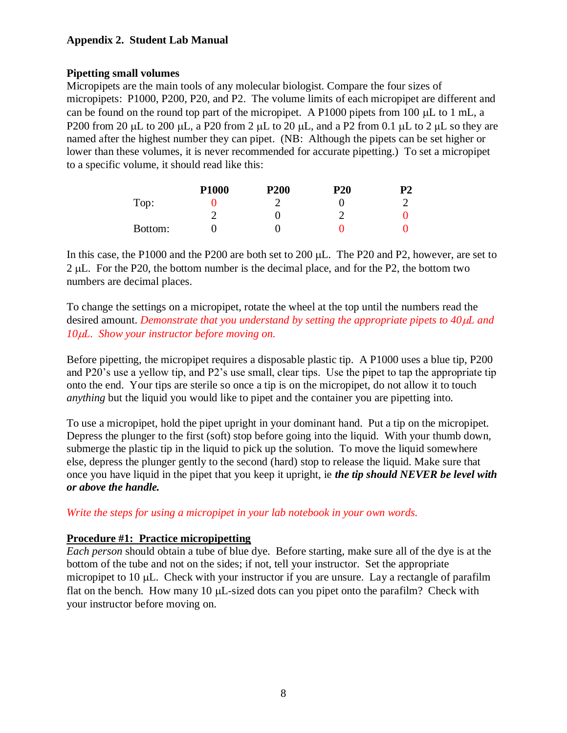## **Pipetting small volumes**

Micropipets are the main tools of any molecular biologist. Compare the four sizes of micropipets: P1000, P200, P20, and P2. The volume limits of each micropipet are different and can be found on the round top part of the micropipet. A P1000 pipets from 100  $\mu$ L to 1 mL, a P200 from 20  $\mu$ L to 200  $\mu$ L, a P20 from 2  $\mu$ L to 20  $\mu$ L, and a P2 from 0.1  $\mu$ L to 2  $\mu$ L so they are named after the highest number they can pipet. (NB: Although the pipets can be set higher or lower than these volumes, it is never recommended for accurate pipetting.) To set a micropipet to a specific volume, it should read like this:

|         | <b>P1000</b> | P <sub>200</sub> | <b>P20</b> | P <sub>2</sub> |
|---------|--------------|------------------|------------|----------------|
| Top:    |              |                  |            |                |
|         |              |                  |            |                |
| Bottom: |              |                  |            |                |

In this case, the P1000 and the P200 are both set to 200  $\mu$ L. The P20 and P2, however, are set to  $2 \mu L$ . For the P20, the bottom number is the decimal place, and for the P2, the bottom two numbers are decimal places.

To change the settings on a micropipet, rotate the wheel at the top until the numbers read the desired amount. *Demonstrate that you understand by setting the appropriate pipets to 40L and 10L. Show your instructor before moving on.*

Before pipetting, the micropipet requires a disposable plastic tip. A P1000 uses a blue tip, P200 and P20's use a yellow tip, and P2's use small, clear tips. Use the pipet to tap the appropriate tip onto the end. Your tips are sterile so once a tip is on the micropipet, do not allow it to touch *anything* but the liquid you would like to pipet and the container you are pipetting into.

To use a micropipet, hold the pipet upright in your dominant hand. Put a tip on the micropipet. Depress the plunger to the first (soft) stop before going into the liquid. With your thumb down, submerge the plastic tip in the liquid to pick up the solution. To move the liquid somewhere else, depress the plunger gently to the second (hard) stop to release the liquid. Make sure that once you have liquid in the pipet that you keep it upright, ie *the tip should NEVER be level with or above the handle.* 

*Write the steps for using a micropipet in your lab notebook in your own words.*

### **Procedure #1: Practice micropipetting**

*Each person* should obtain a tube of blue dye. Before starting, make sure all of the dye is at the bottom of the tube and not on the sides; if not, tell your instructor. Set the appropriate micropipet to 10  $\mu$ L. Check with your instructor if you are unsure. Lay a rectangle of parafilm flat on the bench. How many 10  $\mu$ L-sized dots can you pipet onto the parafilm? Check with your instructor before moving on.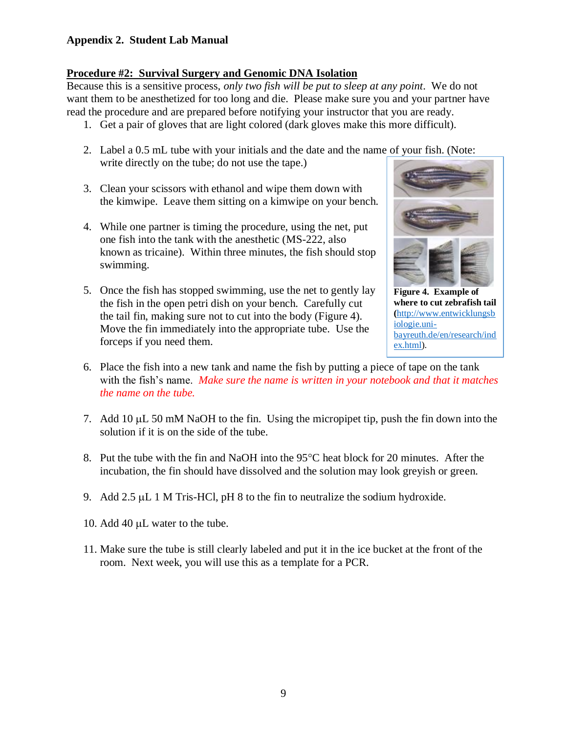# **Procedure #2: Survival Surgery and Genomic DNA Isolation**

Because this is a sensitive process, *only two fish will be put to sleep at any point*. We do not want them to be anesthetized for too long and die. Please make sure you and your partner have read the procedure and are prepared before notifying your instructor that you are ready.

- 1. Get a pair of gloves that are light colored (dark gloves make this more difficult).
- 2. Label a 0.5 mL tube with your initials and the date and the name of your fish. (Note: write directly on the tube; do not use the tape.)
- 3. Clean your scissors with ethanol and wipe them down with the kimwipe. Leave them sitting on a kimwipe on your bench.
- 4. While one partner is timing the procedure, using the net, put one fish into the tank with the anesthetic (MS-222, also known as tricaine). Within three minutes, the fish should stop swimming.
- 5. Once the fish has stopped swimming, use the net to gently lay the fish in the open petri dish on your bench. Carefully cut the tail fin, making sure not to cut into the body (Figure 4). Move the fin immediately into the appropriate tube. Use the forceps if you need them.



**Figure 4. Example of where to cut zebrafish tail (**[http://www.entwicklungsb](http://www.entwicklungsbiologie.uni-bayreuth.de/en/research/index.html) [iologie.uni](http://www.entwicklungsbiologie.uni-bayreuth.de/en/research/index.html)[bayreuth.de/en/research/ind](http://www.entwicklungsbiologie.uni-bayreuth.de/en/research/index.html) [ex.html\)](http://www.entwicklungsbiologie.uni-bayreuth.de/en/research/index.html).

- 6. Place the fish into a new tank and name the fish by putting a piece of tape on the tank with the fish's name. *Make sure the name is written in your notebook and that it matches the name on the tube.*
- 7. Add 10  $\mu$ L 50 mM NaOH to the fin. Using the micropipet tip, push the fin down into the solution if it is on the side of the tube.
- 8. Put the tube with the fin and NaOH into the  $95^{\circ}$ C heat block for 20 minutes. After the incubation, the fin should have dissolved and the solution may look greyish or green.
- 9. Add  $2.5 \mu L$  1 M Tris-HCl, pH 8 to the fin to neutralize the sodium hydroxide.
- 10. Add 40  $\mu$ L water to the tube.
- 11. Make sure the tube is still clearly labeled and put it in the ice bucket at the front of the room. Next week, you will use this as a template for a PCR.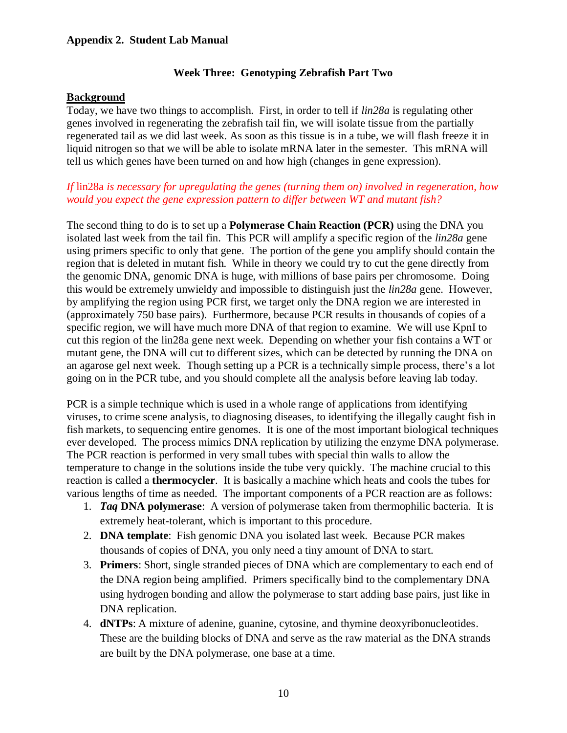### **Week Three: Genotyping Zebrafish Part Two**

### **Background**

Today, we have two things to accomplish. First, in order to tell if *lin28a* is regulating other genes involved in regenerating the zebrafish tail fin, we will isolate tissue from the partially regenerated tail as we did last week. As soon as this tissue is in a tube, we will flash freeze it in liquid nitrogen so that we will be able to isolate mRNA later in the semester. This mRNA will tell us which genes have been turned on and how high (changes in gene expression).

### *If* lin28a *is necessary for upregulating the genes (turning them on) involved in regeneration, how would you expect the gene expression pattern to differ between WT and mutant fish?*

The second thing to do is to set up a **Polymerase Chain Reaction (PCR)** using the DNA you isolated last week from the tail fin. This PCR will amplify a specific region of the *lin28a* gene using primers specific to only that gene. The portion of the gene you amplify should contain the region that is deleted in mutant fish. While in theory we could try to cut the gene directly from the genomic DNA, genomic DNA is huge, with millions of base pairs per chromosome. Doing this would be extremely unwieldy and impossible to distinguish just the *lin28a* gene. However, by amplifying the region using PCR first, we target only the DNA region we are interested in (approximately 750 base pairs). Furthermore, because PCR results in thousands of copies of a specific region, we will have much more DNA of that region to examine. We will use KpnI to cut this region of the lin28a gene next week. Depending on whether your fish contains a WT or mutant gene, the DNA will cut to different sizes, which can be detected by running the DNA on an agarose gel next week. Though setting up a PCR is a technically simple process, there's a lot going on in the PCR tube, and you should complete all the analysis before leaving lab today.

PCR is a simple technique which is used in a whole range of applications from identifying viruses, to crime scene analysis, to diagnosing diseases, to identifying the illegally caught fish in fish markets, to sequencing entire genomes. It is one of the most important biological techniques ever developed. The process mimics DNA replication by utilizing the enzyme DNA polymerase. The PCR reaction is performed in very small tubes with special thin walls to allow the temperature to change in the solutions inside the tube very quickly. The machine crucial to this reaction is called a **thermocycler**. It is basically a machine which heats and cools the tubes for various lengths of time as needed. The important components of a PCR reaction are as follows:

- 1. *Taq* **DNA polymerase**: A version of polymerase taken from thermophilic bacteria. It is extremely heat-tolerant, which is important to this procedure.
- 2. **DNA template**: Fish genomic DNA you isolated last week. Because PCR makes thousands of copies of DNA, you only need a tiny amount of DNA to start.
- 3. **Primers**: Short, single stranded pieces of DNA which are complementary to each end of the DNA region being amplified. Primers specifically bind to the complementary DNA using hydrogen bonding and allow the polymerase to start adding base pairs, just like in DNA replication.
- 4. **dNTPs**: A mixture of adenine, guanine, cytosine, and thymine deoxyribonucleotides. These are the building blocks of DNA and serve as the raw material as the DNA strands are built by the DNA polymerase, one base at a time.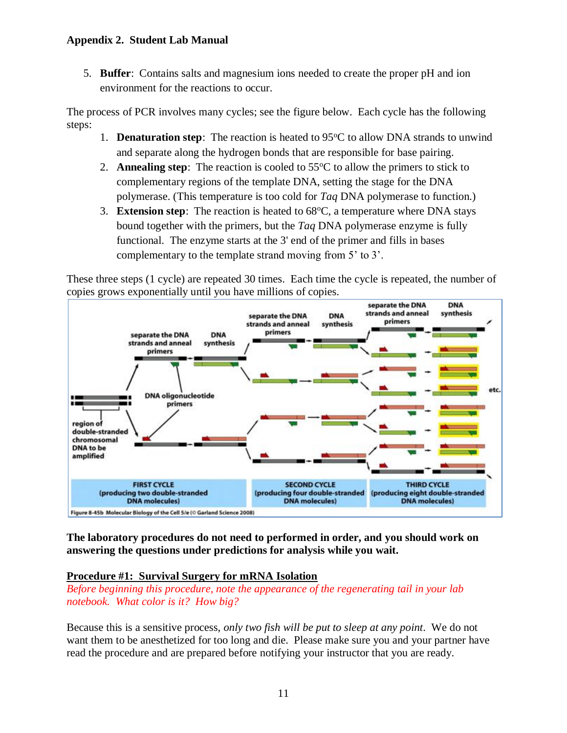5. **Buffer**: Contains salts and magnesium ions needed to create the proper pH and ion environment for the reactions to occur.

The process of PCR involves many cycles; see the figure below. Each cycle has the following steps:

- 1. **Denaturation step**: The reaction is heated to 95°C to allow DNA strands to unwind and separate along the hydrogen bonds that are responsible for base pairing.
- 2. **Annealing step**: The reaction is cooled to  $55^{\circ}$ C to allow the primers to stick to complementary regions of the template DNA, setting the stage for the DNA polymerase. (This temperature is too cold for *Taq* DNA polymerase to function.)
- 3. **Extension step**: The reaction is heated to 68<sup>o</sup>C, a temperature where DNA stays bound together with the primers, but the *Taq* DNA polymerase enzyme is fully functional. The enzyme starts at the 3' end of the primer and fills in bases complementary to the template strand moving from 5' to 3'.

These three steps (1 cycle) are repeated 30 times. Each time the cycle is repeated, the number of copies grows exponentially until you have millions of copies.



**The laboratory procedures do not need to performed in order, and you should work on answering the questions under predictions for analysis while you wait.**

# **Procedure #1: Survival Surgery for mRNA Isolation**

*Before beginning this procedure, note the appearance of the regenerating tail in your lab notebook. What color is it? How big?*

Because this is a sensitive process, *only two fish will be put to sleep at any point*. We do not want them to be anesthetized for too long and die. Please make sure you and your partner have read the procedure and are prepared before notifying your instructor that you are ready.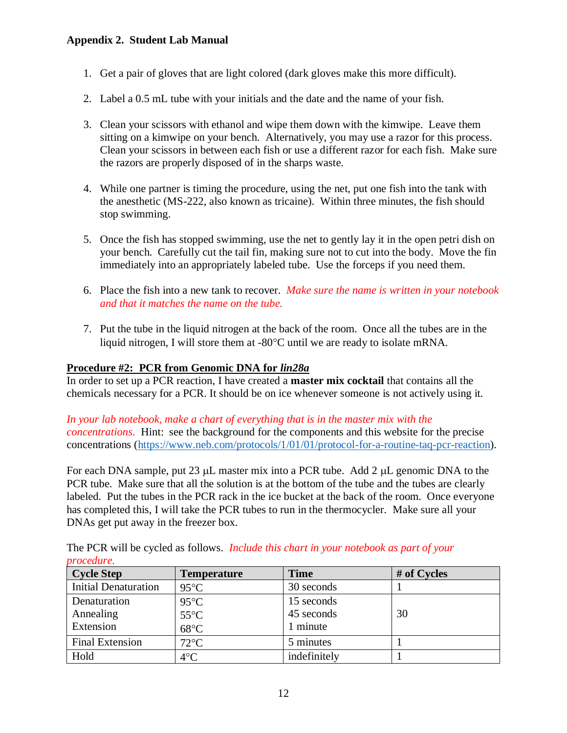- 1. Get a pair of gloves that are light colored (dark gloves make this more difficult).
- 2. Label a 0.5 mL tube with your initials and the date and the name of your fish.
- 3. Clean your scissors with ethanol and wipe them down with the kimwipe. Leave them sitting on a kimwipe on your bench. Alternatively, you may use a razor for this process. Clean your scissors in between each fish or use a different razor for each fish. Make sure the razors are properly disposed of in the sharps waste.
- 4. While one partner is timing the procedure, using the net, put one fish into the tank with the anesthetic (MS-222, also known as tricaine). Within three minutes, the fish should stop swimming.
- 5. Once the fish has stopped swimming, use the net to gently lay it in the open petri dish on your bench. Carefully cut the tail fin, making sure not to cut into the body. Move the fin immediately into an appropriately labeled tube. Use the forceps if you need them.
- 6. Place the fish into a new tank to recover. *Make sure the name is written in your notebook and that it matches the name on the tube.*
- 7. Put the tube in the liquid nitrogen at the back of the room. Once all the tubes are in the liquid nitrogen, I will store them at  $-80^{\circ}$ C until we are ready to isolate mRNA.

# **Procedure #2: PCR from Genomic DNA for** *lin28a*

In order to set up a PCR reaction, I have created a **master mix cocktail** that contains all the chemicals necessary for a PCR. It should be on ice whenever someone is not actively using it.

*In your lab notebook, make a chart of everything that is in the master mix with the concentrations.* Hint: see the background for the components and this website for the precise concentrations [\(https://www.neb.com/protocols/1/01/01/protocol-for-a-routine-taq-pcr-reaction\)](https://www.neb.com/protocols/1/01/01/protocol-for-a-routine-taq-pcr-reaction).

For each DNA sample, put 23  $\mu$ L master mix into a PCR tube. Add 2  $\mu$ L genomic DNA to the PCR tube. Make sure that all the solution is at the bottom of the tube and the tubes are clearly labeled. Put the tubes in the PCR rack in the ice bucket at the back of the room. Once everyone has completed this, I will take the PCR tubes to run in the thermocycler. Make sure all your DNAs get put away in the freezer box.

| proceuure.                  |                    |              |             |  |
|-----------------------------|--------------------|--------------|-------------|--|
| <b>Cycle Step</b>           | <b>Temperature</b> | <b>Time</b>  | # of Cycles |  |
| <b>Initial Denaturation</b> | $95^{\circ}$ C     | 30 seconds   |             |  |
| Denaturation                | $95^{\circ}$ C     | 15 seconds   |             |  |
| Annealing                   | $55^{\circ}$ C     | 45 seconds   | 30          |  |
| Extension                   | $68^{\circ}$ C     | 1 minute     |             |  |
| <b>Final Extension</b>      | $72^{\circ}$ C     | 5 minutes    |             |  |
| Hold                        | $4^{\circ}C$       | indefinitely |             |  |

The PCR will be cycled as follows. *Include this chart in your notebook as part of your procedure.*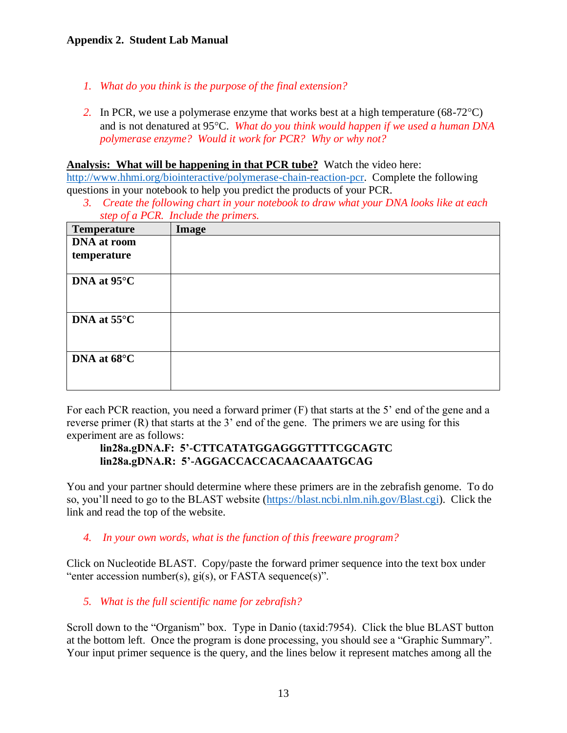- *1. What do you think is the purpose of the final extension?*
- 2. In PCR, we use a polymerase enzyme that works best at a high temperature  $(68-72^{\circ}C)$ and is not denatured at 95C. *What do you think would happen if we used a human DNA polymerase enzyme? Would it work for PCR? Why or why not?*

#### **Analysis: What will be happening in that PCR tube?** Watch the video here:

[http://www.hhmi.org/biointeractive/polymerase-chain-reaction-pcr.](http://www.hhmi.org/biointeractive/polymerase-chain-reaction-pcr) Complete the following questions in your notebook to help you predict the products of your PCR.

*3. Create the following chart in your notebook to draw what your DNA looks like at each step of a PCR. Include the primers.*

| <b>Temperature</b>    | Image |
|-----------------------|-------|
| <b>DNA</b> at room    |       |
| temperature           |       |
| DNA at 95°C           |       |
| DNA at $55^{\circ}$ C |       |
| DNA at 68°C           |       |

For each PCR reaction, you need a forward primer (F) that starts at the 5' end of the gene and a reverse primer (R) that starts at the 3' end of the gene. The primers we are using for this experiment are as follows:

# **lin28a.gDNA.F: 5'-CTTCATATGGAGGGTTTTCGCAGTC lin28a.gDNA.R: 5'-AGGACCACCACAACAAATGCAG**

You and your partner should determine where these primers are in the zebrafish genome. To do so, you'll need to go to the BLAST website [\(https://blast.ncbi.nlm.nih.gov/Blast.cgi\)](https://blast.ncbi.nlm.nih.gov/Blast.cgi). Click the link and read the top of the website.

### *4. In your own words, what is the function of this freeware program?*

Click on Nucleotide BLAST. Copy/paste the forward primer sequence into the text box under "enter accession number(s), gi(s), or FASTA sequence(s)".

*5. What is the full scientific name for zebrafish?*

Scroll down to the "Organism" box. Type in Danio (taxid:7954). Click the blue BLAST button at the bottom left. Once the program is done processing, you should see a "Graphic Summary". Your input primer sequence is the query, and the lines below it represent matches among all the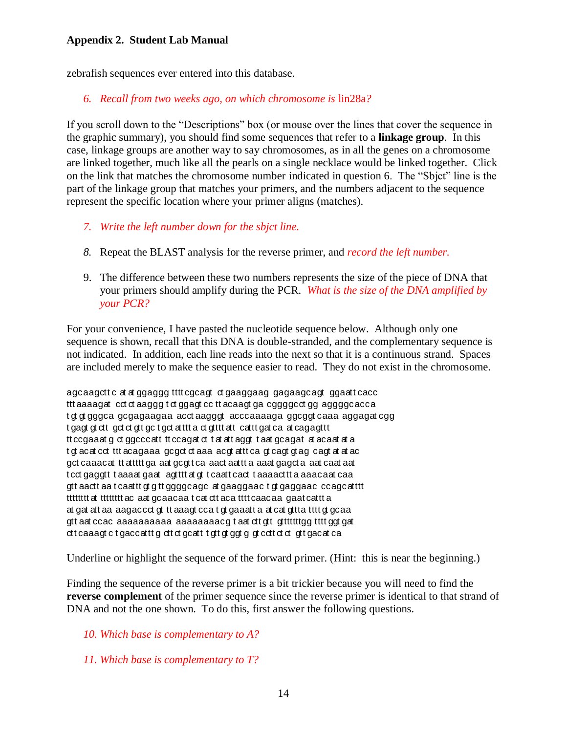zebrafish sequences ever entered into this database.

### *6. Recall from two weeks ago, on which chromosome is* lin28a*?*

If you scroll down to the "Descriptions" box (or mouse over the lines that cover the sequence in the graphic summary), you should find some sequences that refer to a **linkage group**. In this case, linkage groups are another way to say chromosomes, as in all the genes on a chromosome are linked together, much like all the pearls on a single necklace would be linked together. Click on the link that matches the chromosome number indicated in question 6. The "Sbjct" line is the part of the linkage group that matches your primers, and the numbers adjacent to the sequence represent the specific location where your primer aligns (matches).

- *7. Write the left number down for the sbjct line.*
- *8.* Repeat the BLAST analysis for the reverse primer, and *record the left number.*
- 9. The difference between these two numbers represents the size of the piece of DNA that your primers should amplify during the PCR. *What is the size of the DNA amplified by your PCR?*

For your convenience, I have pasted the nucleotide sequence below. Although only one sequence is shown, recall that this DNA is double-stranded, and the complementary sequence is not indicated. In addition, each line reads into the next so that it is a continuous strand. Spaces are included merely to make the sequence easier to read. They do not exist in the chromosome.

agcaagctt c at at ggaggg tttt cgcagt ct gaaggaag gagaagcagt ggaatt cacc ttt aaaagat cct ct aaggg t ct ggagt cc tt acaagt ga cggggcct gg aggggcacca t gt gggca gcgagaagaa acct aagggt acccaaaaga ggcggt caaa aggagat cgg t gagt gt ctt gct ct gtt gc t gct attit a ct gtitt att cattigat ca at cagagtit tt ccgaaat g ct ggcccatt tt ccagat ct t at att aggt t aat gcagat at acaat at a t gt acat cot titt acagaaa gcgct ot aaa acgt atti ca gt cagt gtag cagt at at ac gct caaacat tt attttt ga aat gcgtt ca aact aattt a aaat gagct a aat caat aat t cct gaggtt t aaaat gaat agt ttt at gt t caatt cact t aaaact tt a aaacaat caa gtt aactt aa t caattt gt g tt ggggcagc at gaaggaac t gt gaggaac ccagcatttt ttttttttt at tttttttt ac aat gcaacaa t cat ctt aca tttt caacaa gaat cattt a at gat att aa aagaccct gt tt aaagt cca t gt gaaatt a at cat gttta tttt gt gcaa gtt aat ccac aaaaaaaaaa aaaaaaaacg t aat ctt gtt gtttttttgg tttt ggt gat  $ctc$  caaagt c t gaccattt g  $dtd$  gcatt t gtt gt ggt g gt c $dtd$  d gtt gacat ca

Underline or highlight the sequence of the forward primer. (Hint: this is near the beginning.)

Finding the sequence of the reverse primer is a bit trickier because you will need to find the **reverse complement** of the primer sequence since the reverse primer is identical to that strand of DNA and not the one shown. To do this, first answer the following questions.

*10. Which base is complementary to A?*

*11. Which base is complementary to T?*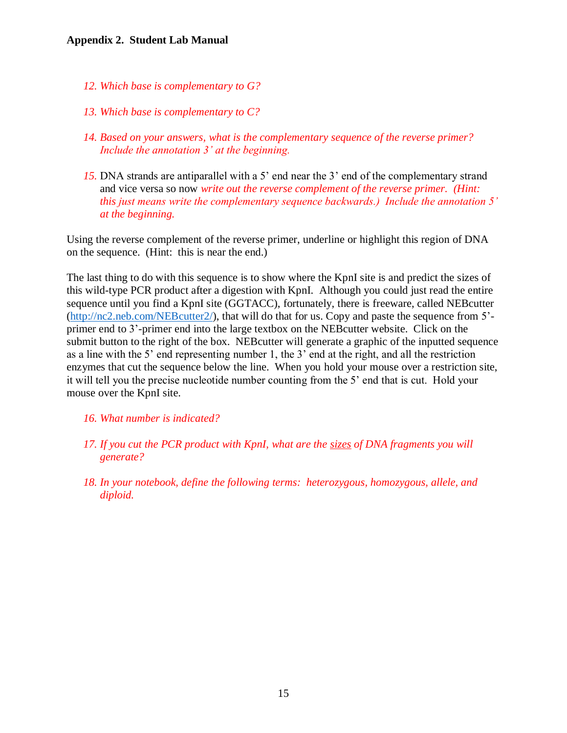- *12. Which base is complementary to G?*
- *13. Which base is complementary to C?*
- *14. Based on your answers, what is the complementary sequence of the reverse primer? Include the annotation 3' at the beginning.*
- *15.* DNA strands are antiparallel with a 5' end near the 3' end of the complementary strand and vice versa so now *write out the reverse complement of the reverse primer. (Hint: this just means write the complementary sequence backwards.) Include the annotation 5' at the beginning.*

Using the reverse complement of the reverse primer, underline or highlight this region of DNA on the sequence. (Hint: this is near the end.)

The last thing to do with this sequence is to show where the KpnI site is and predict the sizes of this wild-type PCR product after a digestion with KpnI. Although you could just read the entire sequence until you find a KpnI site (GGTACC), fortunately, there is freeware, called NEBcutter [\(http://nc2.neb.com/NEBcutter2/\)](http://nc2.neb.com/NEBcutter2/), that will do that for us. Copy and paste the sequence from 5' primer end to 3'-primer end into the large textbox on the NEBcutter website. Click on the submit button to the right of the box. NEBcutter will generate a graphic of the inputted sequence as a line with the 5' end representing number 1, the 3' end at the right, and all the restriction enzymes that cut the sequence below the line. When you hold your mouse over a restriction site, it will tell you the precise nucleotide number counting from the 5' end that is cut. Hold your mouse over the KpnI site.

- *16. What number is indicated?*
- *17. If you cut the PCR product with KpnI, what are the sizes of DNA fragments you will generate?*
- *18. In your notebook, define the following terms: heterozygous, homozygous, allele, and diploid.*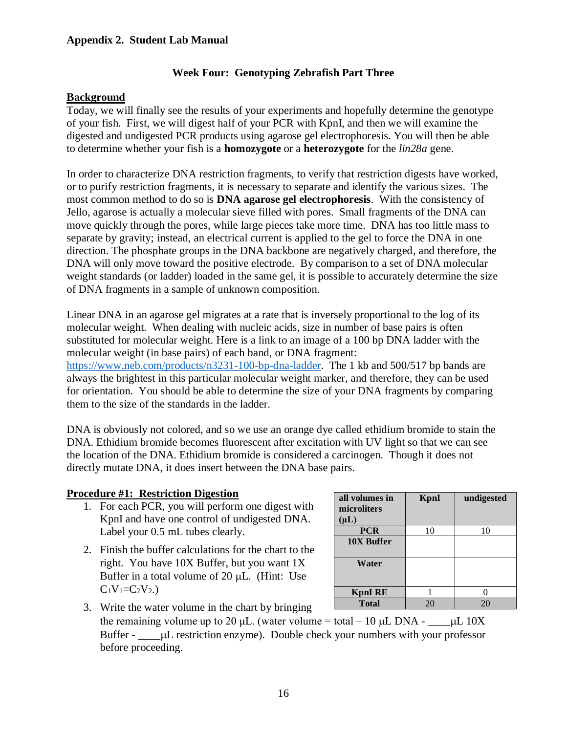### **Week Four: Genotyping Zebrafish Part Three**

### **Background**

Today, we will finally see the results of your experiments and hopefully determine the genotype of your fish. First, we will digest half of your PCR with KpnI, and then we will examine the digested and undigested PCR products using agarose gel electrophoresis. You will then be able to determine whether your fish is a **homozygote** or a **heterozygote** for the *lin28a* gene.

In order to characterize DNA restriction fragments, to verify that restriction digests have worked, or to purify restriction fragments, it is necessary to separate and identify the various sizes. The most common method to do so is **DNA agarose gel electrophoresis**. With the consistency of Jello, agarose is actually a molecular sieve filled with pores. Small fragments of the DNA can move quickly through the pores, while large pieces take more time. DNA has too little mass to separate by gravity; instead, an electrical current is applied to the gel to force the DNA in one direction. The phosphate groups in the DNA backbone are negatively charged, and therefore, the DNA will only move toward the positive electrode. By comparison to a set of DNA molecular weight standards (or ladder) loaded in the same gel, it is possible to accurately determine the size of DNA fragments in a sample of unknown composition.

Linear DNA in an agarose gel migrates at a rate that is inversely proportional to the log of its molecular weight. When dealing with nucleic acids, size in number of base pairs is often substituted for molecular weight. Here is a link to an image of a 100 bp DNA ladder with the molecular weight (in base pairs) of each band, or DNA fragment: [https://www.neb.com/products/n3231-100-bp-dna-ladder.](https://www.neb.com/products/n3231-100-bp-dna-ladder) The 1 kb and 500/517 bp bands are always the brightest in this particular molecular weight marker, and therefore, they can be used for orientation. You should be able to determine the size of your DNA fragments by comparing them to the size of the standards in the ladder.

DNA is obviously not colored, and so we use an orange dye called ethidium bromide to stain the DNA. Ethidium bromide becomes fluorescent after excitation with UV light so that we can see the location of the DNA. Ethidium bromide is considered a carcinogen. Though it does not directly mutate DNA, it does insert between the DNA base pairs.

### **Procedure #1: Restriction Digestion**

- 1. For each PCR, you will perform one digest with KpnI and have one control of undigested DNA. Label your 0.5 mL tubes clearly.
- 2. Finish the buffer calculations for the chart to the right. You have 10X Buffer, but you want 1X Buffer in a total volume of 20 µL. (Hint: Use  $C_1V_1=C_2V_2.$

| all volumes in<br>microliters<br>$(\mu L)$ | <b>KpnI</b> | undigested |
|--------------------------------------------|-------------|------------|
| <b>PCR</b>                                 | 10          | 10         |
| 10X Buffer                                 |             |            |
| Water                                      |             |            |
| <b>KpnI RE</b>                             |             |            |
| Total                                      | 20          | 20         |

3. Write the water volume in the chart by bringing

the remaining volume up to 20  $\mu$ L. (water volume = total – 10  $\mu$ L DNA - \_\_\_\_\_  $\mu$ L 10X Buffer - \_\_\_\_L restriction enzyme). Double check your numbers with your professor before proceeding.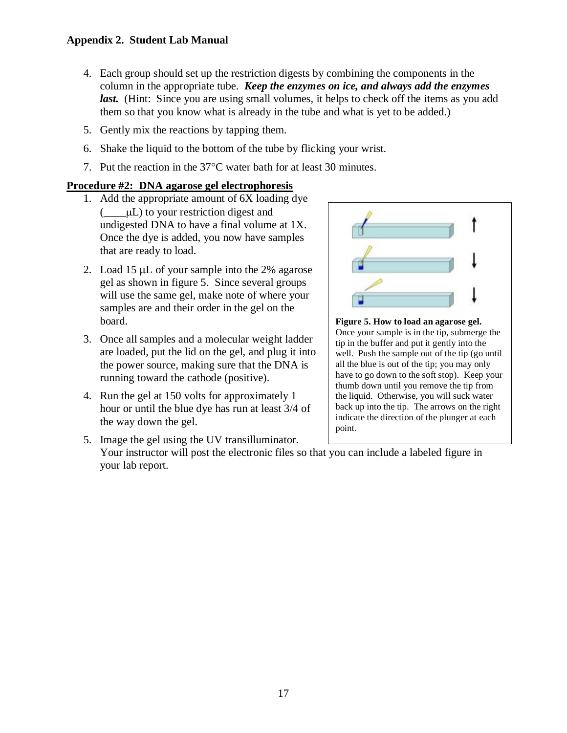- 4. Each group should set up the restriction digests by combining the components in the column in the appropriate tube. *Keep the enzymes on ice, and always add the enzymes last.* (Hint: Since you are using small volumes, it helps to check off the items as you add them so that you know what is already in the tube and what is yet to be added.)
- 5. Gently mix the reactions by tapping them.
- 6. Shake the liquid to the bottom of the tube by flicking your wrist.
- 7. Put the reaction in the  $37^{\circ}$ C water bath for at least 30 minutes.

## **Procedure #2: DNA agarose gel electrophoresis**

- 1. Add the appropriate amount of 6X loading dye  $(\mu L)$  to your restriction digest and undigested DNA to have a final volume at 1X. Once the dye is added, you now have samples that are ready to load.
- 2. Load 15  $\mu$ L of your sample into the 2% agarose gel as shown in figure 5. Since several groups will use the same gel, make note of where your samples are and their order in the gel on the board.
- 3. Once all samples and a molecular weight ladder are loaded, put the lid on the gel, and plug it into the power source, making sure that the DNA is running toward the cathode (positive).
- 4. Run the gel at 150 volts for approximately 1 hour or until the blue dye has run at least 3/4 of the way down the gel.
- 5. Image the gel using the UV transilluminator. Your instructor will post the electronic files so that you can include a labeled figure in your lab report.



Once your sample is in the tip, submerge the tip in the buffer and put it gently into the well. Push the sample out of the tip (go until all the blue is out of the tip; you may only have to go down to the soft stop). Keep your thumb down until you remove the tip from the liquid. Otherwise, you will suck water back up into the tip. The arrows on the right indicate the direction of the plunger at each point.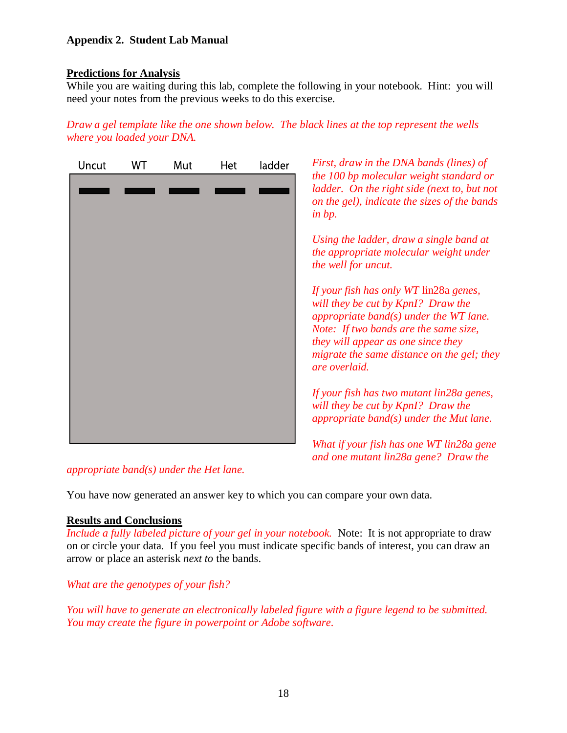# **Predictions for Analysis**

While you are waiting during this lab, complete the following in your notebook. Hint: you will need your notes from the previous weeks to do this exercise.

*Draw a gel template like the one shown below. The black lines at the top represent the wells where you loaded your DNA.*

| Uncut | WT | Mut | Het | ladder |
|-------|----|-----|-----|--------|
|       |    |     |     |        |
|       |    |     |     |        |
|       |    |     |     |        |
|       |    |     |     |        |
|       |    |     |     |        |
|       |    |     |     |        |
|       |    |     |     |        |
|       |    |     |     |        |
|       |    |     |     |        |
|       |    |     |     |        |
|       |    |     |     |        |
|       |    |     |     |        |
|       |    |     |     |        |

*First, draw in the DNA bands (lines) of the 100 bp molecular weight standard or ladder. On the right side (next to, but not on the gel), indicate the sizes of the bands in bp.*

*Using the ladder, draw a single band at the appropriate molecular weight under the well for uncut.* 

*If your fish has only WT* lin28a *genes, will they be cut by KpnI? Draw the appropriate band(s) under the WT lane. Note: If two bands are the same size, they will appear as one since they migrate the same distance on the gel; they are overlaid.* 

*If your fish has two mutant lin28a genes, will they be cut by KpnI? Draw the appropriate band(s) under the Mut lane.* 

*What if your fish has one WT lin28a gene and one mutant lin28a gene? Draw the* 

*appropriate band(s) under the Het lane.* 

You have now generated an answer key to which you can compare your own data.

# **Results and Conclusions**

*Include a fully labeled picture of your gel in your notebook.* Note: It is not appropriate to draw on or circle your data. If you feel you must indicate specific bands of interest, you can draw an arrow or place an asterisk *next to* the bands.

*What are the genotypes of your fish?* 

*You will have to generate an electronically labeled figure with a figure legend to be submitted. You may create the figure in powerpoint or Adobe software.*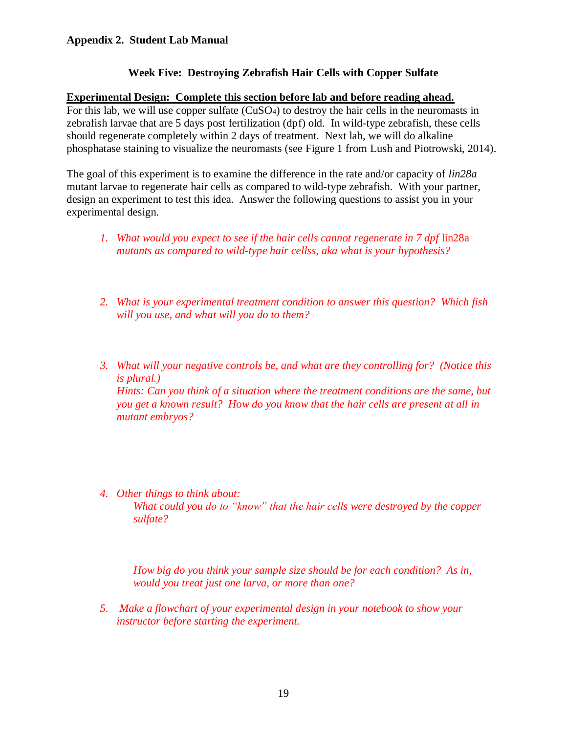### **Week Five: Destroying Zebrafish Hair Cells with Copper Sulfate**

**Experimental Design: Complete this section before lab and before reading ahead.** For this lab, we will use copper sulfate (CuSO4) to destroy the hair cells in the neuromasts in zebrafish larvae that are 5 days post fertilization (dpf) old. In wild-type zebrafish, these cells should regenerate completely within 2 days of treatment. Next lab, we will do alkaline phosphatase staining to visualize the neuromasts (see Figure 1 from Lush and Piotrowski, 2014).

The goal of this experiment is to examine the difference in the rate and/or capacity of *lin28a* mutant larvae to regenerate hair cells as compared to wild-type zebrafish. With your partner, design an experiment to test this idea. Answer the following questions to assist you in your experimental design.

- *1. What would you expect to see if the hair cells cannot regenerate in 7 dpf lin28a mutants as compared to wild-type hair cellss, aka what is your hypothesis?*
- *2. What is your experimental treatment condition to answer this question? Which fish will you use, and what will you do to them?*
- *3. What will your negative controls be, and what are they controlling for? (Notice this is plural.) Hints: Can you think of a situation where the treatment conditions are the same, but you get a known result? How do you know that the hair cells are present at all in mutant embryos?*
- *4. Other things to think about: What could you do to "know" that the hair cells were destroyed by the copper sulfate?*

*How big do you think your sample size should be for each condition? As in, would you treat just one larva, or more than one?* 

*5. Make a flowchart of your experimental design in your notebook to show your instructor before starting the experiment.*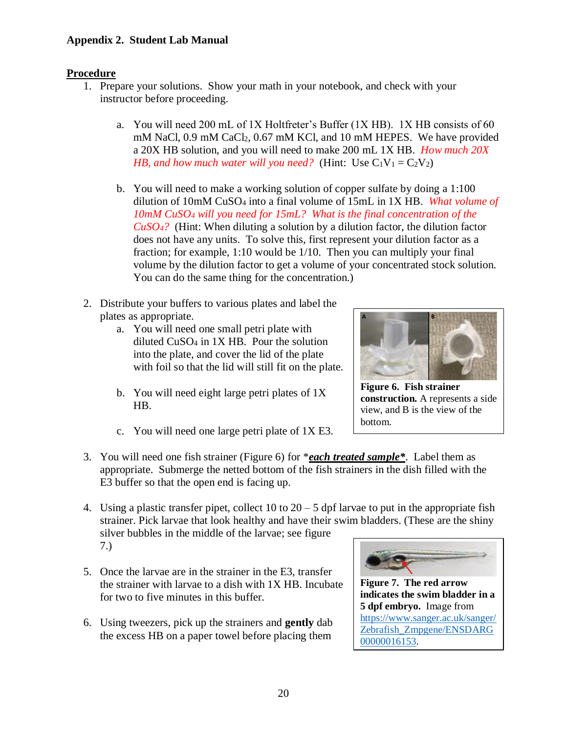# **Procedure**

- 1. Prepare your solutions. Show your math in your notebook, and check with your instructor before proceeding.
	- a. You will need 200 mL of 1X Holtfreter's Buffer (1X HB). 1X HB consists of 60 mM NaCl, 0.9 mM CaCl2, 0.67 mM KCl, and 10 mM HEPES. We have provided a 20X HB solution, and you will need to make 200 mL 1X HB. *How much 20X HB, and how much water will you need?* (Hint: Use  $C_1V_1 = C_2V_2$ )
	- b. You will need to make a working solution of copper sulfate by doing a 1:100 dilution of 10mM CuSO<sup>4</sup> into a final volume of 15mL in 1X HB. *What volume of 10mM CuSO<sup>4</sup> will you need for 15mL? What is the final concentration of the CuSO4?* (Hint: When diluting a solution by a dilution factor, the dilution factor does not have any units. To solve this, first represent your dilution factor as a fraction; for example, 1:10 would be 1/10. Then you can multiply your final volume by the dilution factor to get a volume of your concentrated stock solution. You can do the same thing for the concentration.)
- 2. Distribute your buffers to various plates and label the plates as appropriate.
	- a. You will need one small petri plate with diluted CuSO<sup>4</sup> in 1X HB. Pour the solution into the plate, and cover the lid of the plate with foil so that the lid will still fit on the plate.
	- b. You will need eight large petri plates of 1X HB.
	- c. You will need one large petri plate of 1X E3.



**Figure 6. Fish strainer construction.** A represents a side view, and B is the view of the bottom.

- 3. You will need one fish strainer (Figure 6) for \**each treated sample\**. Label them as appropriate. Submerge the netted bottom of the fish strainers in the dish filled with the E3 buffer so that the open end is facing up.
- 4. Using a plastic transfer pipet, collect 10 to  $20 5$  dpf larvae to put in the appropriate fish strainer. Pick larvae that look healthy and have their swim bladders. (These are the shiny silver bubbles in the middle of the larvae; see figure 7.)
- 5. Once the larvae are in the strainer in the E3, transfer the strainer with larvae to a dish with 1X HB. Incubate for two to five minutes in this buffer.
- 6. Using tweezers, pick up the strainers and **gently** dab the excess HB on a paper towel before placing them



**Figure 7. The red arrow indicates the swim bladder in a 5 dpf embryo.** Image from [https://www.sanger.ac.uk/sanger/](https://www.sanger.ac.uk/sanger/Zebrafish_Zmpgene/ENSDARG00000016153) [Zebrafish\\_Zmpgene/ENSDARG](https://www.sanger.ac.uk/sanger/Zebrafish_Zmpgene/ENSDARG00000016153) [00000016153.](https://www.sanger.ac.uk/sanger/Zebrafish_Zmpgene/ENSDARG00000016153)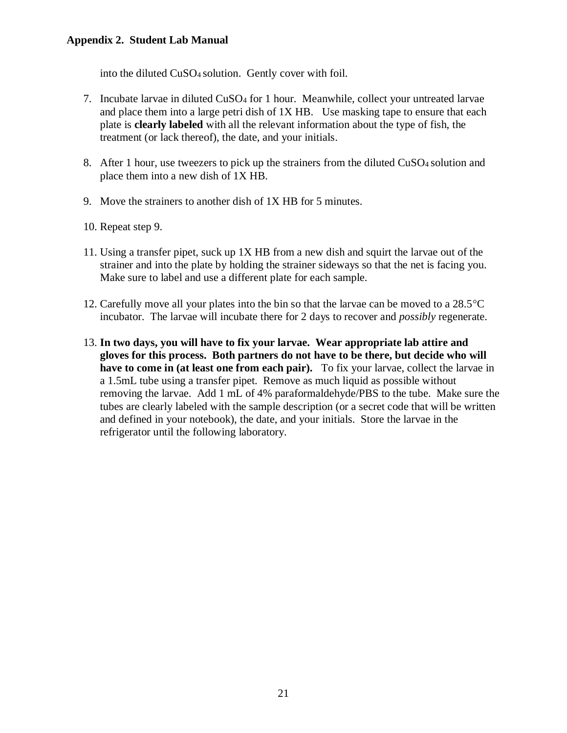into the diluted CuSO4 solution. Gently cover with foil.

- 7. Incubate larvae in diluted CuSO<sup>4</sup> for 1 hour. Meanwhile, collect your untreated larvae and place them into a large petri dish of 1X HB. Use masking tape to ensure that each plate is **clearly labeled** with all the relevant information about the type of fish, the treatment (or lack thereof), the date, and your initials.
- 8. After 1 hour, use tweezers to pick up the strainers from the diluted CuSO4 solution and place them into a new dish of 1X HB.
- 9. Move the strainers to another dish of 1X HB for 5 minutes.
- 10. Repeat step 9.
- 11. Using a transfer pipet, suck up 1X HB from a new dish and squirt the larvae out of the strainer and into the plate by holding the strainer sideways so that the net is facing you. Make sure to label and use a different plate for each sample.
- 12. Carefully move all your plates into the bin so that the larvae can be moved to a  $28.5^{\circ}$ C incubator. The larvae will incubate there for 2 days to recover and *possibly* regenerate.
- 13. **In two days, you will have to fix your larvae. Wear appropriate lab attire and gloves for this process. Both partners do not have to be there, but decide who will have to come in (at least one from each pair).** To fix your larvae, collect the larvae in a 1.5mL tube using a transfer pipet. Remove as much liquid as possible without removing the larvae. Add 1 mL of 4% paraformaldehyde/PBS to the tube. Make sure the tubes are clearly labeled with the sample description (or a secret code that will be written and defined in your notebook), the date, and your initials. Store the larvae in the refrigerator until the following laboratory.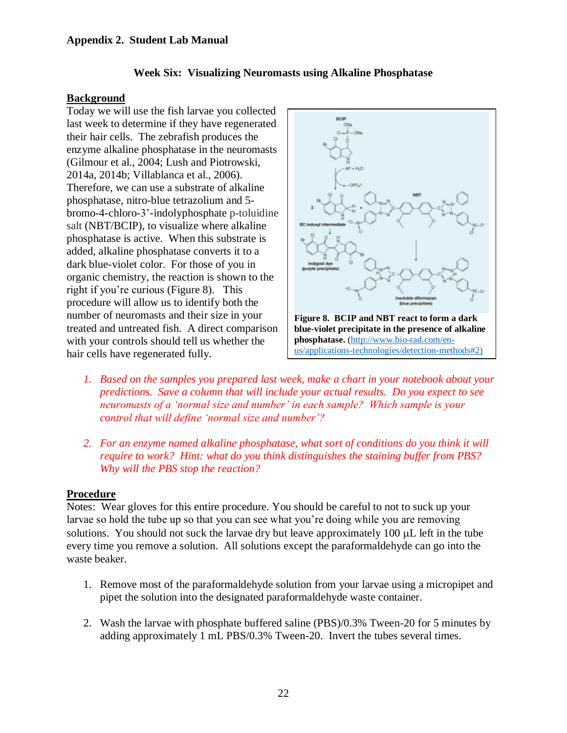# **Week Six: Visualizing Neuromasts using Alkaline Phosphatase**

# **Background**

Today we will use the fish larvae you collected last week to determine if they have regenerated their hair cells. The zebrafish produces the enzyme alkaline phosphatase in the neuromasts (Gilmour et al., 2004; Lush and Piotrowski, 2014a, 2014b; Villablanca et al., 2006). Therefore, we can use a substrate of alkaline phosphatase, nitro-blue tetrazolium and 5 bromo-4-chloro-3'-indolyphosphate p-toluidine salt (NBT/BCIP), to visualize where alkaline phosphatase is active. When this substrate is added, alkaline phosphatase converts it to a dark blue-violet color. For those of you in organic chemistry, the reaction is shown to the right if you're curious (Figure 8). This procedure will allow us to identify both the number of neuromasts and their size in your treated and untreated fish. A direct comparison with your controls should tell us whether the hair cells have regenerated fully.



- *1. Based on the samples you prepared last week, make a chart in your notebook about your predictions. Save a column that will include your actual results. Do you expect to see neuromasts of a 'normal size and number' in each sample? Which sample is your control that will define 'normal size and number'?*
- *2. For an enzyme named alkaline phosphatase, what sort of conditions do you think it will require to work? Hint: what do you think distinguishes the staining buffer from PBS? Why will the PBS stop the reaction?*

# **Procedure**

Notes: Wear gloves for this entire procedure. You should be careful to not to suck up your larvae so hold the tube up so that you can see what you're doing while you are removing solutions. You should not suck the larvae dry but leave approximately  $100 \mu L$  left in the tube every time you remove a solution. All solutions except the paraformaldehyde can go into the waste beaker.

- 1. Remove most of the paraformaldehyde solution from your larvae using a micropipet and pipet the solution into the designated paraformaldehyde waste container.
- 2. Wash the larvae with phosphate buffered saline (PBS)/0.3% Tween-20 for 5 minutes by adding approximately 1 mL PBS/0.3% Tween-20. Invert the tubes several times.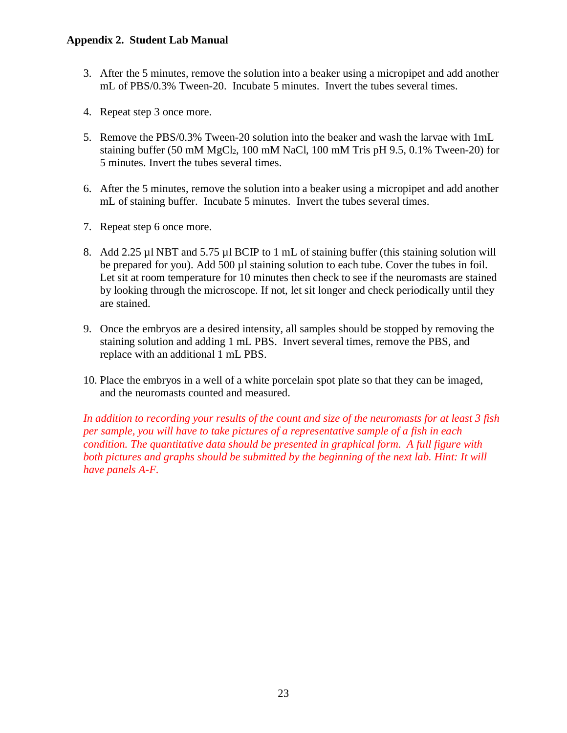- 3. After the 5 minutes, remove the solution into a beaker using a micropipet and add another mL of PBS/0.3% Tween-20. Incubate 5 minutes. Invert the tubes several times.
- 4. Repeat step 3 once more.
- 5. Remove the PBS/0.3% Tween-20 solution into the beaker and wash the larvae with 1mL staining buffer (50 mM  $MgCl<sub>2</sub>$ , 100 mM NaCl, 100 mM Tris pH 9.5, 0.1% Tween-20) for 5 minutes. Invert the tubes several times.
- 6. After the 5 minutes, remove the solution into a beaker using a micropipet and add another mL of staining buffer. Incubate 5 minutes. Invert the tubes several times.
- 7. Repeat step 6 once more.
- 8. Add 2.25 µl NBT and 5.75 µl BCIP to 1 mL of staining buffer (this staining solution will be prepared for you). Add 500 µl staining solution to each tube. Cover the tubes in foil. Let sit at room temperature for 10 minutes then check to see if the neuromasts are stained by looking through the microscope. If not, let sit longer and check periodically until they are stained.
- 9. Once the embryos are a desired intensity, all samples should be stopped by removing the staining solution and adding 1 mL PBS. Invert several times, remove the PBS, and replace with an additional 1 mL PBS.
- 10. Place the embryos in a well of a white porcelain spot plate so that they can be imaged, and the neuromasts counted and measured.

*In addition to recording your results of the count and size of the neuromasts for at least 3 fish per sample, you will have to take pictures of a representative sample of a fish in each condition. The quantitative data should be presented in graphical form. A full figure with both pictures and graphs should be submitted by the beginning of the next lab. Hint: It will have panels A-F.*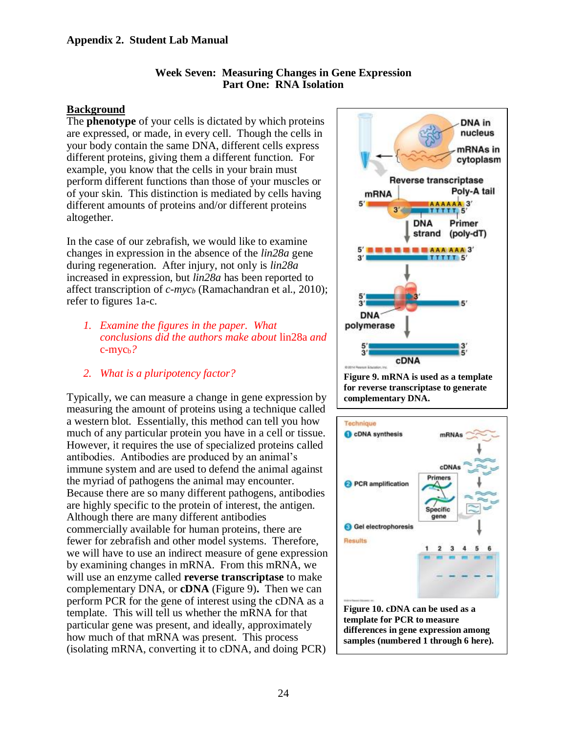### **Week Seven: Measuring Changes in Gene Expression Part One: RNA Isolation**

## **Background**

The **phenotype** of your cells is dictated by which proteins are expressed, or made, in every cell. Though the cells in your body contain the same DNA, different cells express different proteins, giving them a different function. For example, you know that the cells in your brain must perform different functions than those of your muscles or of your skin. This distinction is mediated by cells having different amounts of proteins and/or different proteins altogether.

In the case of our zebrafish, we would like to examine changes in expression in the absence of the *lin28a* gene during regeneration. After injury, not only is *lin28a*  increased in expression, but *lin28a* has been reported to affect transcription of *c-myc<sup>b</sup>* (Ramachandran et al., 2010); refer to figures 1a-c.

- *1. Examine the figures in the paper. What conclusions did the authors make about* lin28a *and*  c-mycb*?*
- *2. What is a pluripotency factor?*

Typically, we can measure a change in gene expression by measuring the amount of proteins using a technique called a western blot. Essentially, this method can tell you how much of any particular protein you have in a cell or tissue. However, it requires the use of specialized proteins called antibodies. Antibodies are produced by an animal's immune system and are used to defend the animal against the myriad of pathogens the animal may encounter. Because there are so many different pathogens, antibodies are highly specific to the protein of interest, the antigen. Although there are many different antibodies commercially available for human proteins, there are fewer for zebrafish and other model systems. Therefore, we will have to use an indirect measure of gene expression by examining changes in mRNA. From this mRNA, we will use an enzyme called **reverse transcriptase** to make complementary DNA, or **cDNA** (Figure 9)**.** Then we can perform PCR for the gene of interest using the cDNA as a template. This will tell us whether the mRNA for that particular gene was present, and ideally, approximately how much of that mRNA was present. This process (isolating mRNA, converting it to cDNA, and doing PCR)



**Figure 9. mRNA is used as a template for reverse transcriptase to generate complementary DNA.**



**template for PCR to measure differences in gene expression among samples (numbered 1 through 6 here).**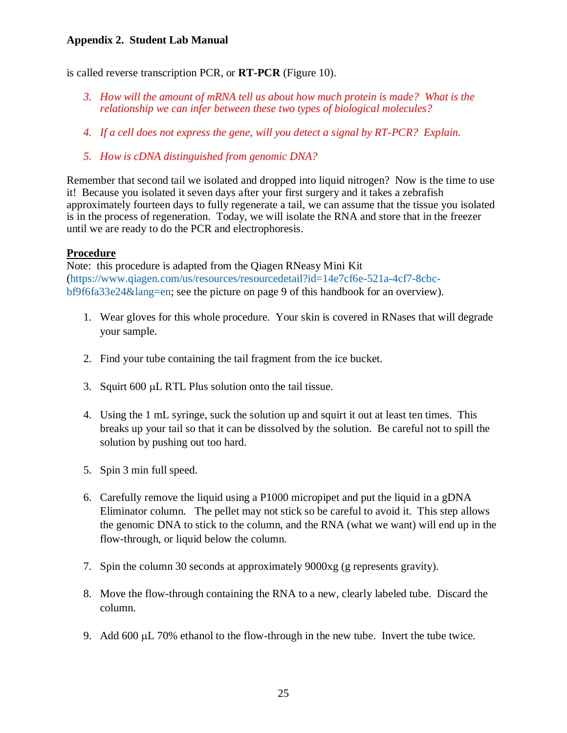is called reverse transcription PCR, or **RT-PCR** (Figure 10).

- *3. How will the amount of mRNA tell us about how much protein is made? What is the relationship we can infer between these two types of biological molecules?*
- *4. If a cell does not express the gene, will you detect a signal by RT-PCR? Explain.*
- *5. How is cDNA distinguished from genomic DNA?*

Remember that second tail we isolated and dropped into liquid nitrogen? Now is the time to use it! Because you isolated it seven days after your first surgery and it takes a zebrafish approximately fourteen days to fully regenerate a tail, we can assume that the tissue you isolated is in the process of regeneration. Today, we will isolate the RNA and store that in the freezer until we are ready to do the PCR and electrophoresis.

#### **Procedure**

Note: this procedure is adapted from the Qiagen RNeasy Mini Kit [\(https://www.qiagen.com/us/resources/resourcedetail?id=14e7cf6e-521a-4cf7-8cbc](https://www.qiagen.com/us/resources/resourcedetail?id=14e7cf6e-521a-4cf7-8cbc-bf9f6fa33e24&lang=en)[bf9f6fa33e24&lang=en;](https://www.qiagen.com/us/resources/resourcedetail?id=14e7cf6e-521a-4cf7-8cbc-bf9f6fa33e24&lang=en) see the picture on page 9 of this handbook for an overview).

- 1. Wear gloves for this whole procedure. Your skin is covered in RNases that will degrade your sample.
- 2. Find your tube containing the tail fragment from the ice bucket.
- 3. Squirt  $600 \mu L$  RTL Plus solution onto the tail tissue.
- 4. Using the 1 mL syringe, suck the solution up and squirt it out at least ten times. This breaks up your tail so that it can be dissolved by the solution. Be careful not to spill the solution by pushing out too hard.
- 5. Spin 3 min full speed.
- 6. Carefully remove the liquid using a P1000 micropipet and put the liquid in a gDNA Eliminator column. The pellet may not stick so be careful to avoid it. This step allows the genomic DNA to stick to the column, and the RNA (what we want) will end up in the flow-through, or liquid below the column.
- 7. Spin the column 30 seconds at approximately 9000xg (g represents gravity).
- 8. Move the flow-through containing the RNA to a new, clearly labeled tube. Discard the column.
- 9. Add  $600 \mu L$  70% ethanol to the flow-through in the new tube. Invert the tube twice.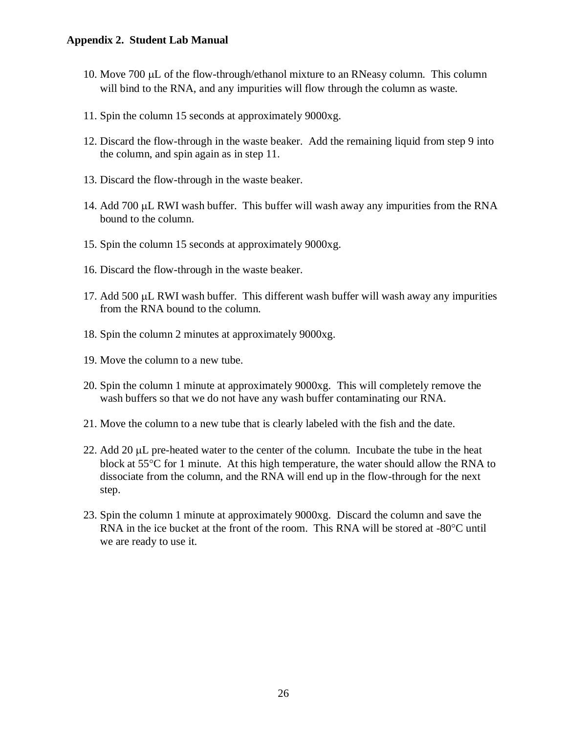- 10. Move 700  $\mu$ L of the flow-through/ethanol mixture to an RNeasy column. This column will bind to the RNA, and any impurities will flow through the column as waste.
- 11. Spin the column 15 seconds at approximately 9000xg.
- 12. Discard the flow-through in the waste beaker. Add the remaining liquid from step 9 into the column, and spin again as in step 11.
- 13. Discard the flow-through in the waste beaker.
- 14. Add 700  $\mu$ L RWI wash buffer. This buffer will wash away any impurities from the RNA bound to the column.
- 15. Spin the column 15 seconds at approximately 9000xg.
- 16. Discard the flow-through in the waste beaker.
- 17. Add 500  $\mu$ L RWI wash buffer. This different wash buffer will wash away any impurities from the RNA bound to the column.
- 18. Spin the column 2 minutes at approximately 9000xg.
- 19. Move the column to a new tube.
- 20. Spin the column 1 minute at approximately 9000xg. This will completely remove the wash buffers so that we do not have any wash buffer contaminating our RNA.
- 21. Move the column to a new tube that is clearly labeled with the fish and the date.
- 22. Add 20 µL pre-heated water to the center of the column. Incubate the tube in the heat block at 55<sup>o</sup>C for 1 minute. At this high temperature, the water should allow the RNA to dissociate from the column, and the RNA will end up in the flow-through for the next step.
- 23. Spin the column 1 minute at approximately 9000xg. Discard the column and save the RNA in the ice bucket at the front of the room. This RNA will be stored at  $-80^{\circ}$ C until we are ready to use it.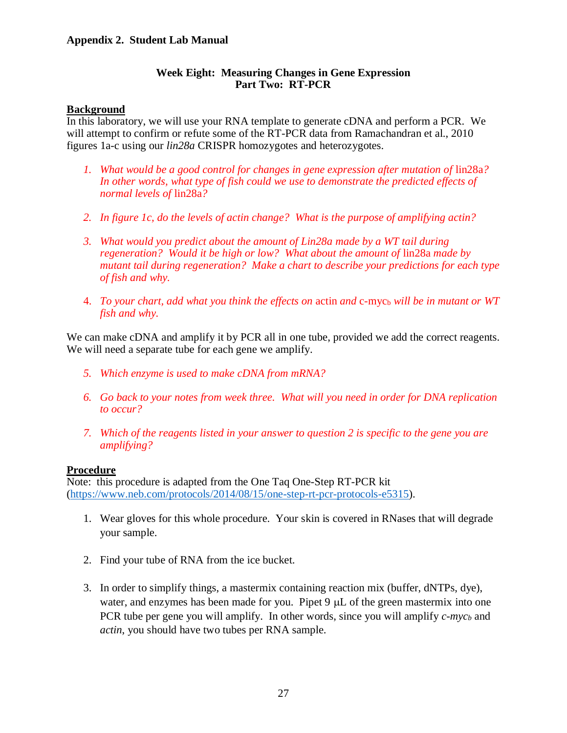### **Week Eight: Measuring Changes in Gene Expression Part Two: RT-PCR**

### **Background**

In this laboratory, we will use your RNA template to generate cDNA and perform a PCR. We will attempt to confirm or refute some of the RT-PCR data from Ramachandran et al., 2010 figures 1a-c using our *lin28a* CRISPR homozygotes and heterozygotes.

- *1. What would be a good control for changes in gene expression after mutation of* lin28a*? In other words, what type of fish could we use to demonstrate the predicted effects of normal levels of* lin28a*?*
- *2. In figure 1c, do the levels of actin change? What is the purpose of amplifying actin?*
- *3. What would you predict about the amount of Lin28a made by a WT tail during regeneration?* Would it be high or low? What about the amount of lin28a made by *mutant tail during regeneration? Make a chart to describe your predictions for each type of fish and why.*
- 4. *To your chart, add what you think the effects on* actin *and* c-myc<sup>b</sup> *will be in mutant or WT fish and why.*

We can make cDNA and amplify it by PCR all in one tube, provided we add the correct reagents. We will need a separate tube for each gene we amplify.

- *5. Which enzyme is used to make cDNA from mRNA?*
- *6. Go back to your notes from week three. What will you need in order for DNA replication to occur?*
- *7. Which of the reagents listed in your answer to question 2 is specific to the gene you are amplifying?*

### **Procedure**

Note: this procedure is adapted from the One Taq One-Step RT-PCR kit [\(https://www.neb.com/protocols/2014/08/15/one-step-rt-pcr-protocols-e5315\)](https://www.neb.com/protocols/2014/08/15/one-step-rt-pcr-protocols-e5315).

- 1. Wear gloves for this whole procedure. Your skin is covered in RNases that will degrade your sample.
- 2. Find your tube of RNA from the ice bucket.
- 3. In order to simplify things, a mastermix containing reaction mix (buffer, dNTPs, dye), water, and enzymes has been made for you. Pipet  $9 \mu L$  of the green mastermix into one PCR tube per gene you will amplify. In other words, since you will amplify *c-myc<sup>b</sup>* and *actin*, you should have two tubes per RNA sample.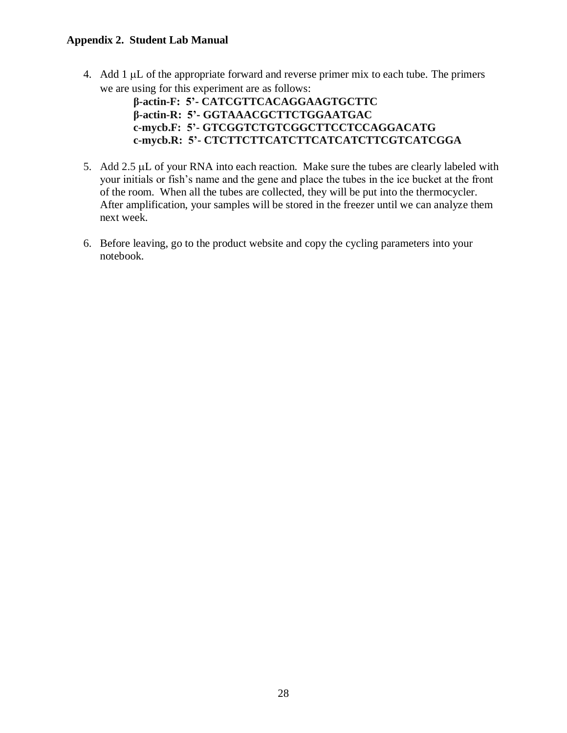4. Add 1  $\mu$ L of the appropriate forward and reverse primer mix to each tube. The primers we are using for this experiment are as follows:

> **β-actin-F: 5'- CATCGTTCACAGGAAGTGCTTC β-actin-R: 5'- GGTAAACGCTTCTGGAATGAC c-mycb.F: 5'- GTCGGTCTGTCGGCTTCCTCCAGGACATG c-mycb.R: 5'- CTCTTCTTCATCTTCATCATCTTCGTCATCGGA**

- 5. Add  $2.5 \mu L$  of your RNA into each reaction. Make sure the tubes are clearly labeled with your initials or fish's name and the gene and place the tubes in the ice bucket at the front of the room. When all the tubes are collected, they will be put into the thermocycler. After amplification, your samples will be stored in the freezer until we can analyze them next week.
- 6. Before leaving, go to the product website and copy the cycling parameters into your notebook.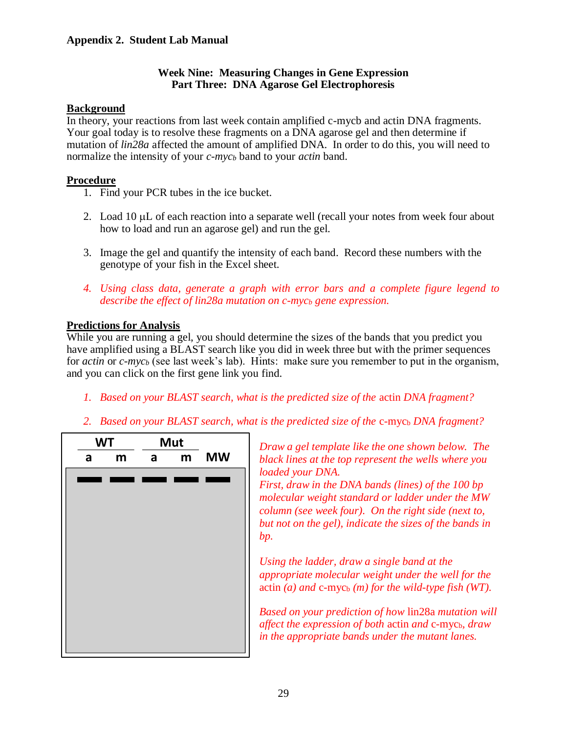### **Week Nine: Measuring Changes in Gene Expression Part Three: DNA Agarose Gel Electrophoresis**

## **Background**

In theory, your reactions from last week contain amplified c-mycb and actin DNA fragments. Your goal today is to resolve these fragments on a DNA agarose gel and then determine if mutation of *lin28a* affected the amount of amplified DNA. In order to do this, you will need to normalize the intensity of your *c-myc<sup>b</sup>* band to your *actin* band.

## **Procedure**

- 1. Find your PCR tubes in the ice bucket.
- 2. Load  $10 \mu L$  of each reaction into a separate well (recall your notes from week four about how to load and run an agarose gel) and run the gel.
- 3. Image the gel and quantify the intensity of each band. Record these numbers with the genotype of your fish in the Excel sheet.
- *4. Using class data, generate a graph with error bars and a complete figure legend to describe the effect of lin28a mutation on c-myc<sup>b</sup> gene expression.*

## **Predictions for Analysis**

While you are running a gel, you should determine the sizes of the bands that you predict you have amplified using a BLAST search like you did in week three but with the primer sequences for *actin* or *c-myc<sup>b</sup>* (see last week's lab). Hints: make sure you remember to put in the organism, and you can click on the first gene link you find.

- *1.* Based on your BLAST search, what is the predicted size of the actin DNA fragment?
- 2. *Based on your BLAST search, what is the predicted size of the c-myc<sub>b</sub> DNA fragment?*

| <b>WT</b> |   | <b>Mut</b>     |   |           |  |
|-----------|---|----------------|---|-----------|--|
| a         | m | $\overline{a}$ | m | <b>MW</b> |  |
|           |   |                |   |           |  |
|           |   |                |   |           |  |
|           |   |                |   |           |  |
|           |   |                |   |           |  |
|           |   |                |   |           |  |
|           |   |                |   |           |  |
|           |   |                |   |           |  |
|           |   |                |   |           |  |
|           |   |                |   |           |  |
|           |   |                |   |           |  |
|           |   |                |   |           |  |
|           |   |                |   |           |  |
|           |   |                |   |           |  |

*Draw a gel template like the one shown below. The black lines at the top represent the wells where you loaded your DNA.*

*First, draw in the DNA bands (lines) of the 100 bp molecular weight standard or ladder under the MW column (see week four). On the right side (next to, but not on the gel), indicate the sizes of the bands in bp.*

*Using the ladder, draw a single band at the appropriate molecular weight under the well for the*  actin *(a) and* c-myc<sub>b</sub> *(m) for the wild-type fish <i>(WT)*.

*Based on your prediction of how* lin28a *mutation will affect the expression of both* actin *and* c-mycb*, draw in the appropriate bands under the mutant lanes.*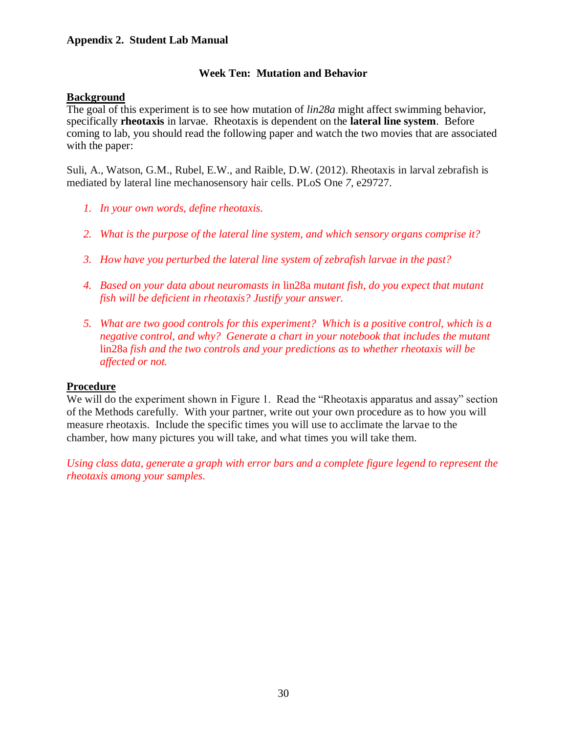## **Week Ten: Mutation and Behavior**

### **Background**

The goal of this experiment is to see how mutation of *lin28a* might affect swimming behavior, specifically **rheotaxis** in larvae. Rheotaxis is dependent on the **lateral line system**. Before coming to lab, you should read the following paper and watch the two movies that are associated with the paper:

Suli, A., Watson, G.M., Rubel, E.W., and Raible, D.W. (2012). Rheotaxis in larval zebrafish is mediated by lateral line mechanosensory hair cells. PLoS One *7*, e29727.

- *1. In your own words, define rheotaxis.*
- *2. What is the purpose of the lateral line system, and which sensory organs comprise it?*
- *3. How have you perturbed the lateral line system of zebrafish larvae in the past?*
- *4. Based on your data about neuromasts in* lin28a *mutant fish, do you expect that mutant fish will be deficient in rheotaxis? Justify your answer.*
- *5. What are two good controls for this experiment? Which is a positive control, which is a negative control, and why? Generate a chart in your notebook that includes the mutant*  lin28a *fish and the two controls and your predictions as to whether rheotaxis will be affected or not.*

### **Procedure**

We will do the experiment shown in Figure 1. Read the "Rheotaxis apparatus and assay" section of the Methods carefully. With your partner, write out your own procedure as to how you will measure rheotaxis. Include the specific times you will use to acclimate the larvae to the chamber, how many pictures you will take, and what times you will take them.

*Using class data, generate a graph with error bars and a complete figure legend to represent the rheotaxis among your samples.*